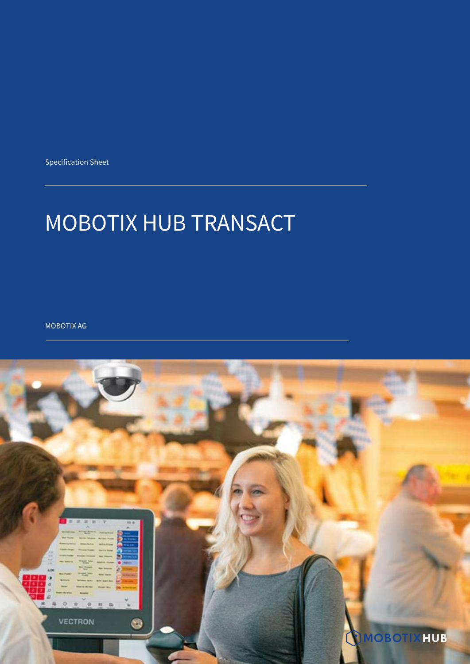Specification Sheet

# MOBOTIX HUB TRANSACT

MOBOTIX AG

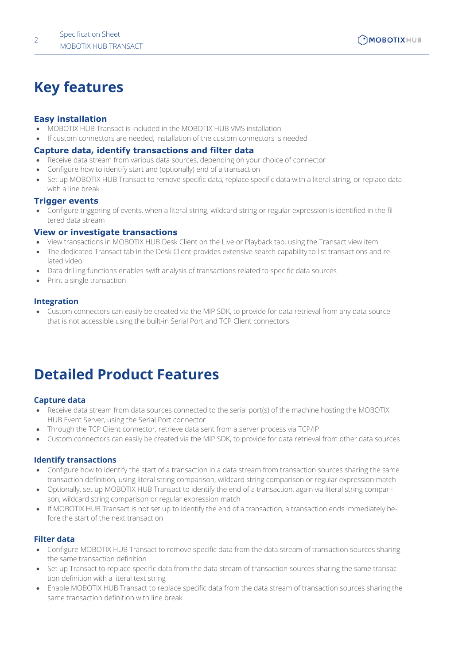## **Key features**

#### **Easy installation**

- MOBOTIX HUB Transact is included in the MOBOTIX HUB VMS installation
- If custom connectors are needed, installation of the custom connectors is needed

#### **Capture data, identify transactions and filter data**

- Receive data stream from various data sources, depending on your choice of connector
- Configure how to identify start and (optionally) end of a transaction
- Set up MOBOTIX HUB Transact to remove specific data, replace specific data with a literal string, or replace data with a line break

#### **Trigger events**

• Configure triggering of events, when a literal string, wildcard string or regular expression is identified in the filtered data stream

#### **View or investigate transactions**

- View transactions in MOBOTIX HUB Desk Client on the Live or Playback tab, using the Transact view item
- The dedicated Transact tab in the Desk Client provides extensive search capability to list transactions and related video
- Data drilling functions enables swift analysis of transactions related to specific data sources
- Print a single transaction

#### **Integration**

• Custom connectors can easily be created via the MIP SDK, to provide for data retrieval from any data source that is not accessible using the built-in Serial Port and TCP Client connectors

## **Detailed Product Features**

#### **Capture data**

- Receive data stream from data sources connected to the serial port(s) of the machine hosting the MOBOTIX HUB Event Server, using the Serial Port connector
- Through the TCP Client connector, retrieve data sent from a server process via TCP/IP
- Custom connectors can easily be created via the MIP SDK, to provide for data retrieval from other data sources

#### **Identify transactions**

- Configure how to identify the start of a transaction in a data stream from transaction sources sharing the same transaction definition, using literal string comparison, wildcard string comparison or regular expression match
- Optionally, set up MOBOTIX HUB Transact to identify the end of a transaction, again via literal string comparison, wildcard string comparison or regular expression match
- If MOBOTIX HUB Transact is not set up to identify the end of a transaction, a transaction ends immediately before the start of the next transaction

#### **Filter data**

- Configure MOBOTIX HUB Transact to remove specific data from the data stream of transaction sources sharing the same transaction definition
- Set up Transact to replace specific data from the data stream of transaction sources sharing the same transaction definition with a literal text string
- Enable MOBOTIX HUB Transact to replace specific data from the data stream of transaction sources sharing the same transaction definition with line break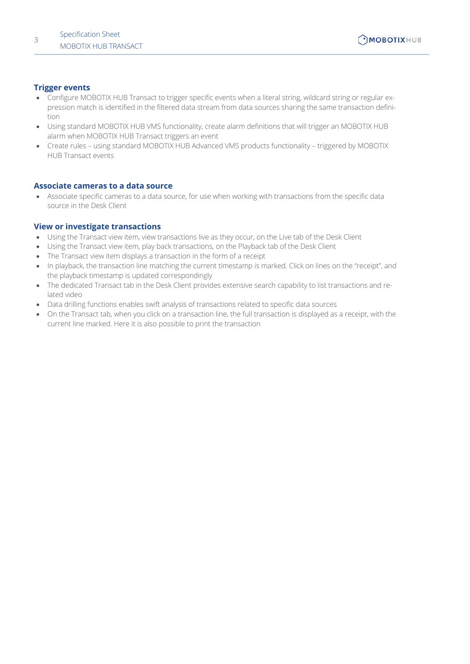#### **Trigger events**

- Configure MOBOTIX HUB Transact to trigger specific events when a literal string, wildcard string or regular expression match is identified in the filtered data stream from data sources sharing the same transaction definition
- Using standard MOBOTIX HUB VMS functionality, create alarm definitions that will trigger an MOBOTIX HUB alarm when MOBOTIX HUB Transact triggers an event
- Create rules using standard MOBOTIX HUB Advanced VMS products functionality triggered by MOBOTIX HUB Transact events

#### **Associate cameras to a data source**

• Associate specific cameras to a data source, for use when working with transactions from the specific data source in the Desk Client

#### **View or investigate transactions**

- Using the Transact view item, view transactions live as they occur, on the Live tab of the Desk Client
- Using the Transact view item, play back transactions, on the Playback tab of the Desk Client
- The Transact view item displays a transaction in the form of a receipt
- In playback, the transaction line matching the current timestamp is marked. Click on lines on the "receipt", and the playback timestamp is updated correspondingly
- The dedicated Transact tab in the Desk Client provides extensive search capability to list transactions and related video
- Data drilling functions enables swift analysis of transactions related to specific data sources
- On the Transact tab, when you click on a transaction line, the full transaction is displayed as a receipt, with the current line marked. Here it is also possible to print the transaction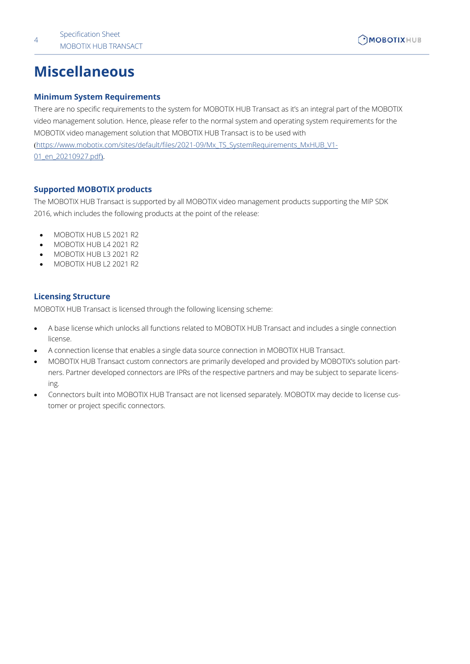## **Miscellaneous**

#### **Minimum System Requirements**

There are no specific requirements to the system for MOBOTIX HUB Transact as it's an integral part of the MOBOTIX video management solution. Hence, please refer to the normal system and operating system requirements for the MOBOTIX video management solution that MOBOTIX HUB Transact is to be used with (https://www.mobotix.com/sites/default/files/2021-09/Mx\_TS\_SystemRequirements\_MxHUB\_V1- 01\_en\_20210927.pdf).

#### **Supported MOBOTIX products**

The MOBOTIX HUB Transact is supported by all MOBOTIX video management products supporting the MIP SDK 2016, which includes the following products at the point of the release:

- MOBOTIX HUB L5 2021 R2
- MOBOTIX HUB L4 2021 R2
- MOBOTIX HUB L3 2021 R2
- MOBOTIX HUB L2 2021 R2

#### **Licensing Structure**

MOBOTIX HUB Transact is licensed through the following licensing scheme:

- A base license which unlocks all functions related to MOBOTIX HUB Transact and includes a single connection license.
- A connection license that enables a single data source connection in MOBOTIX HUB Transact.
- MOBOTIX HUB Transact custom connectors are primarily developed and provided by MOBOTIX's solution partners. Partner developed connectors are IPRs of the respective partners and may be subject to separate licensing.
- Connectors built into MOBOTIX HUB Transact are not licensed separately. MOBOTIX may decide to license customer or project specific connectors.